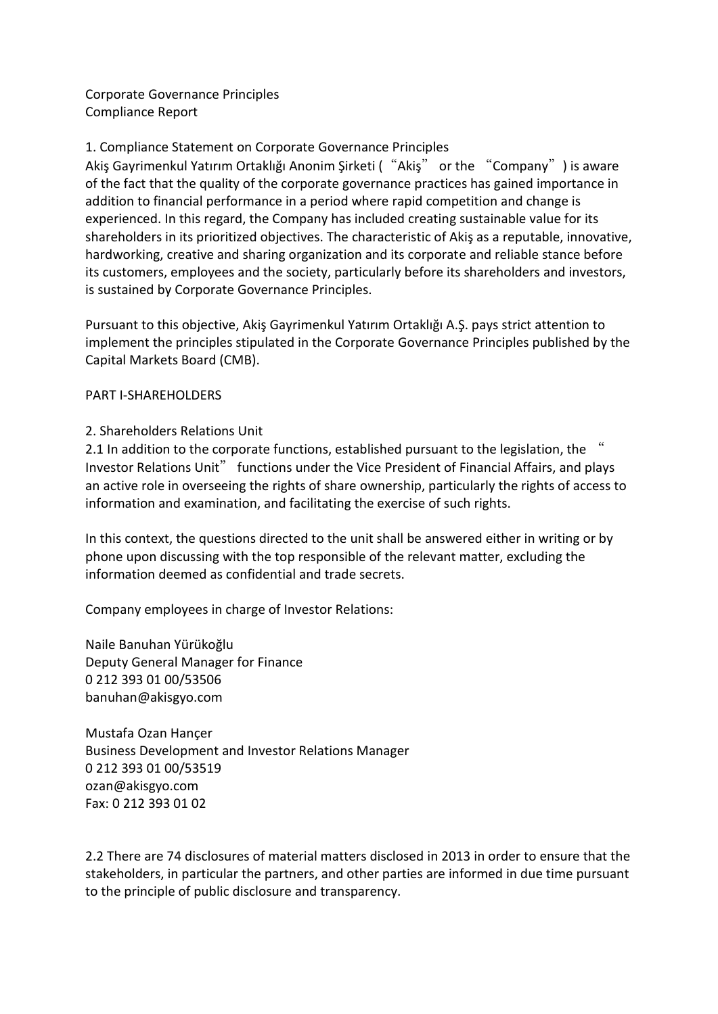Corporate Governance Principles Compliance Report

## 1. Compliance Statement on Corporate Governance Principles

Akiş Gayrimenkul Yatırım Ortaklığı Anonim Şirketi ( "Akiş" or the "Company") is aware of the fact that the quality of the corporate governance practices has gained importance in addition to financial performance in a period where rapid competition and change is experienced. In this regard, the Company has included creating sustainable value for its shareholders in its prioritized objectives. The characteristic of Akiş as a reputable, innovative, hardworking, creative and sharing organization and its corporate and reliable stance before its customers, employees and the society, particularly before its shareholders and investors, is sustained by Corporate Governance Principles.

Pursuant to this objective, Akiş Gayrimenkul Yatırım Ortaklığı A.Ş. pays strict attention to implement the principles stipulated in the Corporate Governance Principles published by the Capital Markets Board (CMB).

## PART I-SHAREHOLDERS

## 2. Shareholders Relations Unit

2.1 In addition to the corporate functions, established pursuant to the legislation, the " Investor Relations Unit" functions under the Vice President of Financial Affairs, and plays an active role in overseeing the rights of share ownership, particularly the rights of access to information and examination, and facilitating the exercise of such rights.

In this context, the questions directed to the unit shall be answered either in writing or by phone upon discussing with the top responsible of the relevant matter, excluding the information deemed as confidential and trade secrets.

Company employees in charge of Investor Relations:

Naile Banuhan Yürükoğlu Deputy General Manager for Finance 0 212 393 01 00/53506 banuhan@akisgyo.com

Mustafa Ozan Hançer Business Development and Investor Relations Manager 0 212 393 01 00/53519 ozan@akisgyo.com Fax: 0 212 393 01 02

2.2 There are 74 disclosures of material matters disclosed in 2013 in order to ensure that the stakeholders, in particular the partners, and other parties are informed in due time pursuant to the principle of public disclosure and transparency.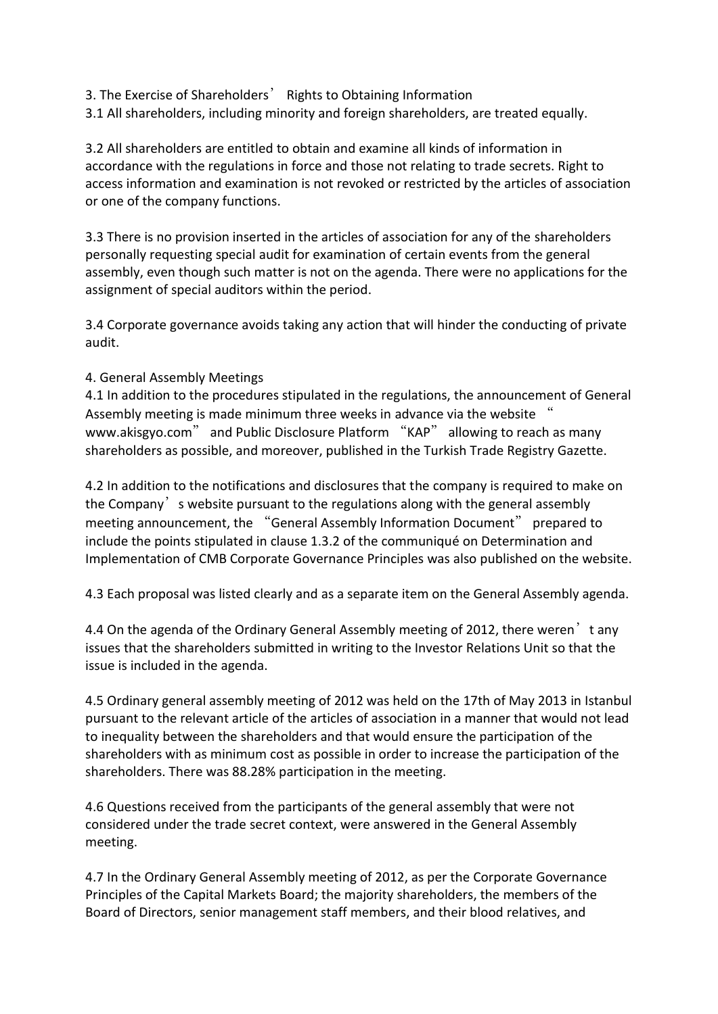3. The Exercise of Shareholders' Rights to Obtaining Information

3.1 All shareholders, including minority and foreign shareholders, are treated equally.

3.2 All shareholders are entitled to obtain and examine all kinds of information in accordance with the regulations in force and those not relating to trade secrets. Right to access information and examination is not revoked or restricted by the articles of association or one of the company functions.

3.3 There is no provision inserted in the articles of association for any of the shareholders personally requesting special audit for examination of certain events from the general assembly, even though such matter is not on the agenda. There were no applications for the assignment of special auditors within the period.

3.4 Corporate governance avoids taking any action that will hinder the conducting of private audit.

## 4. General Assembly Meetings

4.1 In addition to the procedures stipulated in the regulations, the announcement of General Assembly meeting is made minimum three weeks in advance via the website " www.akisgyo.com" and Public Disclosure Platform "KAP" allowing to reach as many shareholders as possible, and moreover, published in the Turkish Trade Registry Gazette.

4.2 In addition to the notifications and disclosures that the company is required to make on the Company's website pursuant to the regulations along with the general assembly meeting announcement, the "General Assembly Information Document" prepared to include the points stipulated in clause 1.3.2 of the communiqué on Determination and Implementation of CMB Corporate Governance Principles was also published on the website.

4.3 Each proposal was listed clearly and as a separate item on the General Assembly agenda.

4.4 On the agenda of the Ordinary General Assembly meeting of 2012, there weren't any issues that the shareholders submitted in writing to the Investor Relations Unit so that the issue is included in the agenda.

4.5 Ordinary general assembly meeting of 2012 was held on the 17th of May 2013 in Istanbul pursuant to the relevant article of the articles of association in a manner that would not lead to inequality between the shareholders and that would ensure the participation of the shareholders with as minimum cost as possible in order to increase the participation of the shareholders. There was 88.28% participation in the meeting.

4.6 Questions received from the participants of the general assembly that were not considered under the trade secret context, were answered in the General Assembly meeting.

4.7 In the Ordinary General Assembly meeting of 2012, as per the Corporate Governance Principles of the Capital Markets Board; the majority shareholders, the members of the Board of Directors, senior management staff members, and their blood relatives, and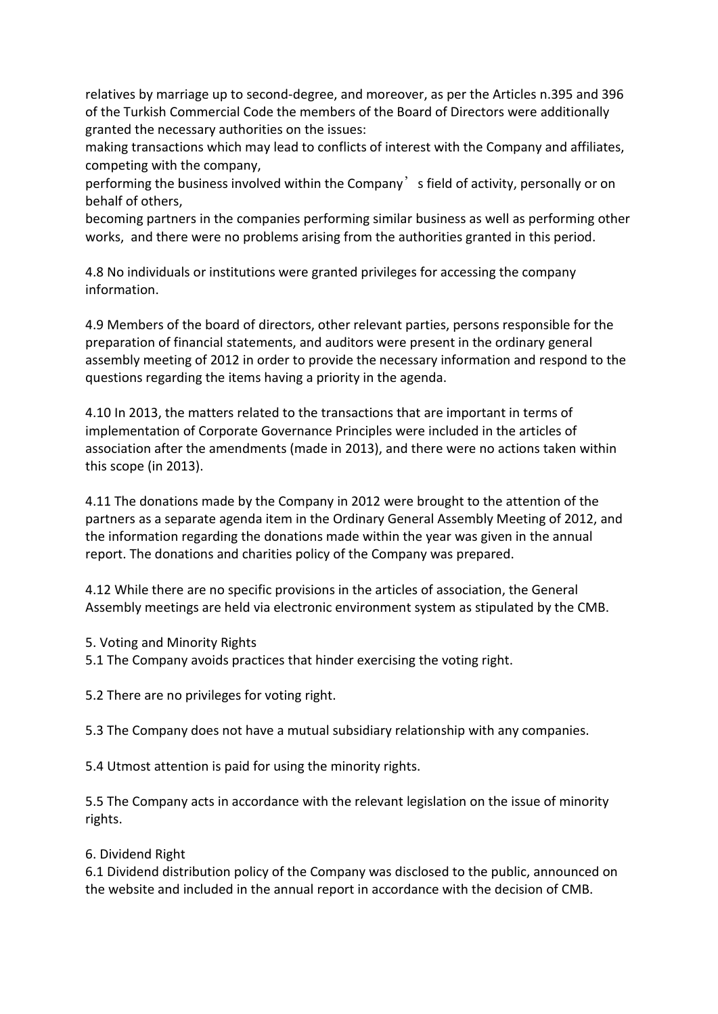relatives by marriage up to second-degree, and moreover, as per the Articles n.395 and 396 of the Turkish Commercial Code the members of the Board of Directors were additionally granted the necessary authorities on the issues:

making transactions which may lead to conflicts of interest with the Company and affiliates, competing with the company,

performing the business involved within the Company s field of activity, personally or on behalf of others,

becoming partners in the companies performing similar business as well as performing other works, and there were no problems arising from the authorities granted in this period.

4.8 No individuals or institutions were granted privileges for accessing the company information.

4.9 Members of the board of directors, other relevant parties, persons responsible for the preparation of financial statements, and auditors were present in the ordinary general assembly meeting of 2012 in order to provide the necessary information and respond to the questions regarding the items having a priority in the agenda.

4.10 In 2013, the matters related to the transactions that are important in terms of implementation of Corporate Governance Principles were included in the articles of association after the amendments (made in 2013), and there were no actions taken within this scope (in 2013).

4.11 The donations made by the Company in 2012 were brought to the attention of the partners as a separate agenda item in the Ordinary General Assembly Meeting of 2012, and the information regarding the donations made within the year was given in the annual report. The donations and charities policy of the Company was prepared.

4.12 While there are no specific provisions in the articles of association, the General Assembly meetings are held via electronic environment system as stipulated by the CMB.

5. Voting and Minority Rights

5.1 The Company avoids practices that hinder exercising the voting right.

5.2 There are no privileges for voting right.

5.3 The Company does not have a mutual subsidiary relationship with any companies.

5.4 Utmost attention is paid for using the minority rights.

5.5 The Company acts in accordance with the relevant legislation on the issue of minority rights.

#### 6. Dividend Right

6.1 Dividend distribution policy of the Company was disclosed to the public, announced on the website and included in the annual report in accordance with the decision of CMB.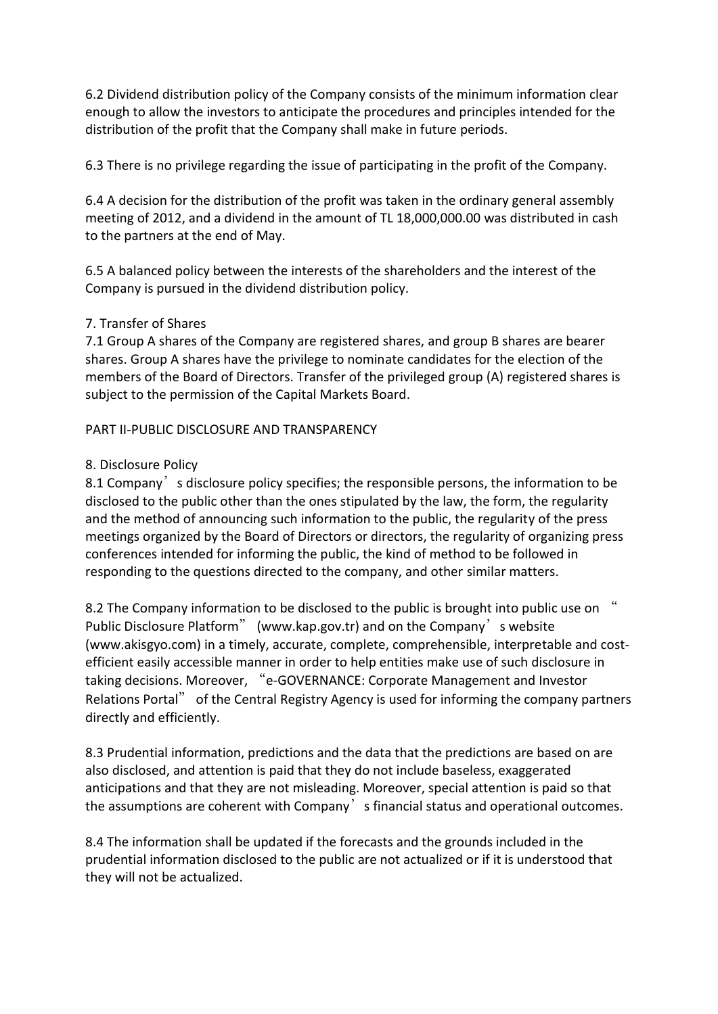6.2 Dividend distribution policy of the Company consists of the minimum information clear enough to allow the investors to anticipate the procedures and principles intended for the distribution of the profit that the Company shall make in future periods.

6.3 There is no privilege regarding the issue of participating in the profit of the Company.

6.4 A decision for the distribution of the profit was taken in the ordinary general assembly meeting of 2012, and a dividend in the amount of TL 18,000,000.00 was distributed in cash to the partners at the end of May.

6.5 A balanced policy between the interests of the shareholders and the interest of the Company is pursued in the dividend distribution policy.

## 7. Transfer of Shares

7.1 Group A shares of the Company are registered shares, and group B shares are bearer shares. Group A shares have the privilege to nominate candidates for the election of the members of the Board of Directors. Transfer of the privileged group (A) registered shares is subject to the permission of the Capital Markets Board.

PART II-PUBLIC DISCLOSURE AND TRANSPARENCY

## 8. Disclosure Policy

8.1 Company, s disclosure policy specifies; the responsible persons, the information to be disclosed to the public other than the ones stipulated by the law, the form, the regularity and the method of announcing such information to the public, the regularity of the press meetings organized by the Board of Directors or directors, the regularity of organizing press conferences intended for informing the public, the kind of method to be followed in responding to the questions directed to the company, and other similar matters.

8.2 The Company information to be disclosed to the public is brought into public use on " Public Disclosure Platform" (www.kap.gov.tr) and on the Company's website (www.akisgyo.com) in a timely, accurate, complete, comprehensible, interpretable and costefficient easily accessible manner in order to help entities make use of such disclosure in taking decisions. Moreover, "e-GOVERNANCE: Corporate Management and Investor Relations Portal" of the Central Registry Agency is used for informing the company partners directly and efficiently.

8.3 Prudential information, predictions and the data that the predictions are based on are also disclosed, and attention is paid that they do not include baseless, exaggerated anticipations and that they are not misleading. Moreover, special attention is paid so that the assumptions are coherent with Company's financial status and operational outcomes.

8.4 The information shall be updated if the forecasts and the grounds included in the prudential information disclosed to the public are not actualized or if it is understood that they will not be actualized.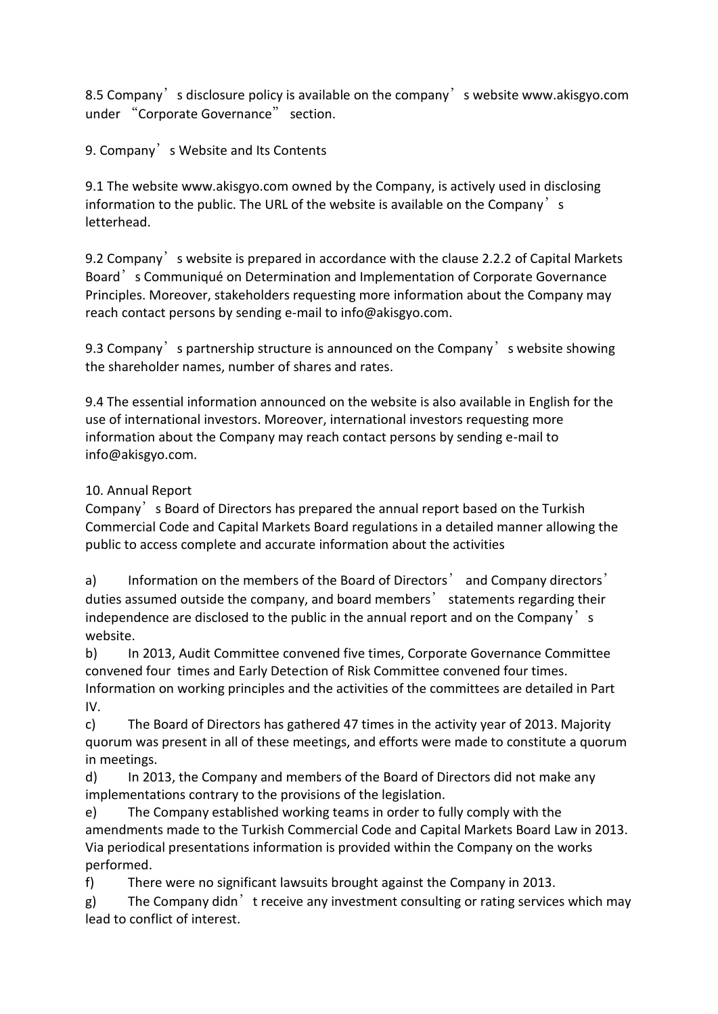8.5 Company's disclosure policy is available on the company's website www.akisgyo.com under "Corporate Governance" section.

9. Company<sup>'</sup>s Website and Its Contents

9.1 The website www.akisgyo.com owned by the Company, is actively used in disclosing information to the public. The URL of the website is available on the Company's letterhead.

9.2 Company's website is prepared in accordance with the clause 2.2.2 of Capital Markets Board's Communiqué on Determination and Implementation of Corporate Governance Principles. Moreover, stakeholders requesting more information about the Company may reach contact persons by sending e-mail to info@akisgyo.com.

9.3 Company, spartnership structure is announced on the Company, s website showing the shareholder names, number of shares and rates.

9.4 The essential information announced on the website is also available in English for the use of international investors. Moreover, international investors requesting more information about the Company may reach contact persons by sending e-mail to info@akisgyo.com.

# 10. Annual Report

Company's Board of Directors has prepared the annual report based on the Turkish Commercial Code and Capital Markets Board regulations in a detailed manner allowing the public to access complete and accurate information about the activities

a) Information on the members of the Board of Directors' and Company directors' duties assumed outside the company, and board members' statements regarding their independence are disclosed to the public in the annual report and on the Company  $\dot{\ }$  s website.

b) In 2013, Audit Committee convened five times, Corporate Governance Committee convened four times and Early Detection of Risk Committee convened four times. Information on working principles and the activities of the committees are detailed in Part IV.

c) The Board of Directors has gathered 47 times in the activity year of 2013. Majority quorum was present in all of these meetings, and efforts were made to constitute a quorum in meetings.

d) In 2013, the Company and members of the Board of Directors did not make any implementations contrary to the provisions of the legislation.

e) The Company established working teams in order to fully comply with the amendments made to the Turkish Commercial Code and Capital Markets Board Law in 2013. Via periodical presentations information is provided within the Company on the works performed.

f) There were no significant lawsuits brought against the Company in 2013.

g) The Company didn<sup>'</sup> t receive any investment consulting or rating services which may lead to conflict of interest.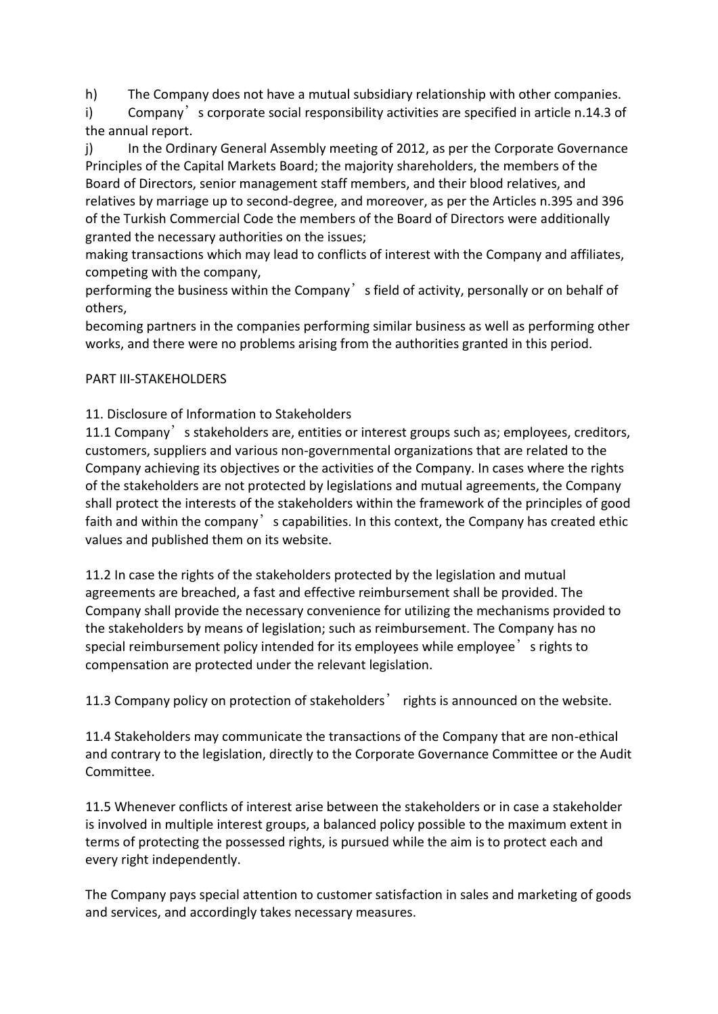h) The Company does not have a mutual subsidiary relationship with other companies.

i) Company s corporate social responsibility activities are specified in article n.14.3 of the annual report.

j) In the Ordinary General Assembly meeting of 2012, as per the Corporate Governance Principles of the Capital Markets Board; the majority shareholders, the members of the Board of Directors, senior management staff members, and their blood relatives, and relatives by marriage up to second-degree, and moreover, as per the Articles n.395 and 396 of the Turkish Commercial Code the members of the Board of Directors were additionally granted the necessary authorities on the issues;

making transactions which may lead to conflicts of interest with the Company and affiliates, competing with the company,

performing the business within the Company's field of activity, personally or on behalf of others,

becoming partners in the companies performing similar business as well as performing other works, and there were no problems arising from the authorities granted in this period.

## PART III-STAKEHOLDERS

# 11. Disclosure of Information to Stakeholders

11.1 Company's stakeholders are, entities or interest groups such as; employees, creditors, customers, suppliers and various non-governmental organizations that are related to the Company achieving its objectives or the activities of the Company. In cases where the rights of the stakeholders are not protected by legislations and mutual agreements, the Company shall protect the interests of the stakeholders within the framework of the principles of good faith and within the company scapabilities. In this context, the Company has created ethic values and published them on its website.

11.2 In case the rights of the stakeholders protected by the legislation and mutual agreements are breached, a fast and effective reimbursement shall be provided. The Company shall provide the necessary convenience for utilizing the mechanisms provided to the stakeholders by means of legislation; such as reimbursement. The Company has no special reimbursement policy intended for its employees while employee's rights to compensation are protected under the relevant legislation.

11.3 Company policy on protection of stakeholders' rights is announced on the website.

11.4 Stakeholders may communicate the transactions of the Company that are non-ethical and contrary to the legislation, directly to the Corporate Governance Committee or the Audit Committee.

11.5 Whenever conflicts of interest arise between the stakeholders or in case a stakeholder is involved in multiple interest groups, a balanced policy possible to the maximum extent in terms of protecting the possessed rights, is pursued while the aim is to protect each and every right independently.

The Company pays special attention to customer satisfaction in sales and marketing of goods and services, and accordingly takes necessary measures.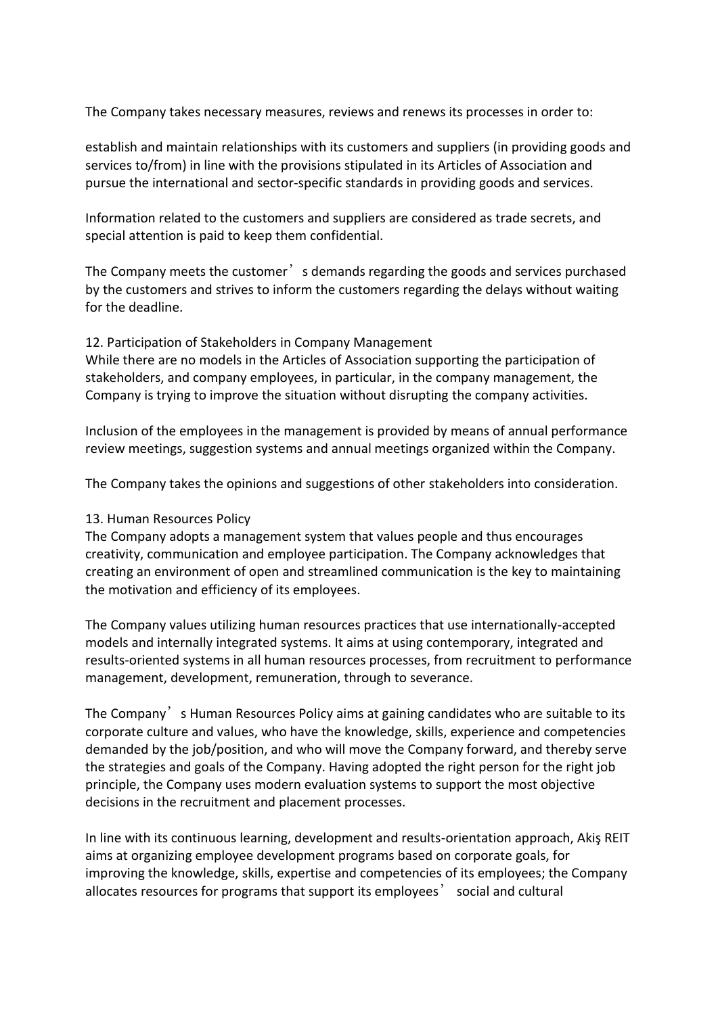The Company takes necessary measures, reviews and renews its processes in order to:

establish and maintain relationships with its customers and suppliers (in providing goods and services to/from) in line with the provisions stipulated in its Articles of Association and pursue the international and sector-specific standards in providing goods and services.

Information related to the customers and suppliers are considered as trade secrets, and special attention is paid to keep them confidential.

The Company meets the customer's demands regarding the goods and services purchased by the customers and strives to inform the customers regarding the delays without waiting for the deadline.

12. Participation of Stakeholders in Company Management While there are no models in the Articles of Association supporting the participation of stakeholders, and company employees, in particular, in the company management, the Company is trying to improve the situation without disrupting the company activities.

Inclusion of the employees in the management is provided by means of annual performance review meetings, suggestion systems and annual meetings organized within the Company.

The Company takes the opinions and suggestions of other stakeholders into consideration.

#### 13. Human Resources Policy

The Company adopts a management system that values people and thus encourages creativity, communication and employee participation. The Company acknowledges that creating an environment of open and streamlined communication is the key to maintaining the motivation and efficiency of its employees.

The Company values utilizing human resources practices that use internationally-accepted models and internally integrated systems. It aims at using contemporary, integrated and results-oriented systems in all human resources processes, from recruitment to performance management, development, remuneration, through to severance.

The Company<sup>'</sup>s Human Resources Policy aims at gaining candidates who are suitable to its corporate culture and values, who have the knowledge, skills, experience and competencies demanded by the job/position, and who will move the Company forward, and thereby serve the strategies and goals of the Company. Having adopted the right person for the right job principle, the Company uses modern evaluation systems to support the most objective decisions in the recruitment and placement processes.

In line with its continuous learning, development and results-orientation approach, Akiş REIT aims at organizing employee development programs based on corporate goals, for improving the knowledge, skills, expertise and competencies of its employees; the Company allocates resources for programs that support its employees' social and cultural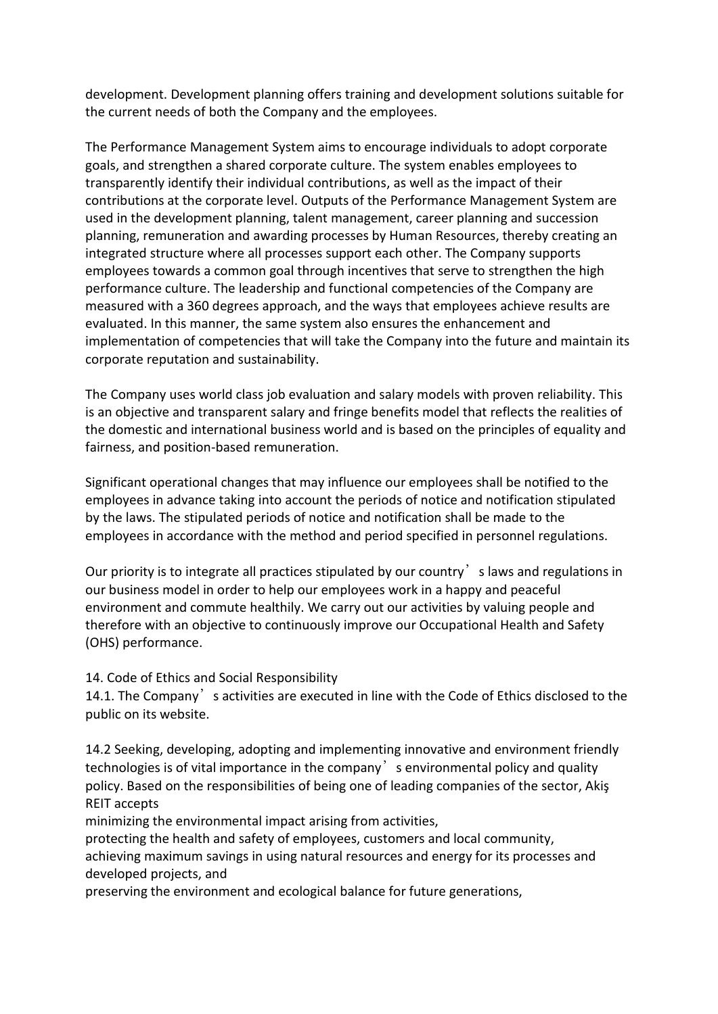development. Development planning offers training and development solutions suitable for the current needs of both the Company and the employees.

The Performance Management System aims to encourage individuals to adopt corporate goals, and strengthen a shared corporate culture. The system enables employees to transparently identify their individual contributions, as well as the impact of their contributions at the corporate level. Outputs of the Performance Management System are used in the development planning, talent management, career planning and succession planning, remuneration and awarding processes by Human Resources, thereby creating an integrated structure where all processes support each other. The Company supports employees towards a common goal through incentives that serve to strengthen the high performance culture. The leadership and functional competencies of the Company are measured with a 360 degrees approach, and the ways that employees achieve results are evaluated. In this manner, the same system also ensures the enhancement and implementation of competencies that will take the Company into the future and maintain its corporate reputation and sustainability.

The Company uses world class job evaluation and salary models with proven reliability. This is an objective and transparent salary and fringe benefits model that reflects the realities of the domestic and international business world and is based on the principles of equality and fairness, and position-based remuneration.

Significant operational changes that may influence our employees shall be notified to the employees in advance taking into account the periods of notice and notification stipulated by the laws. The stipulated periods of notice and notification shall be made to the employees in accordance with the method and period specified in personnel regulations.

Our priority is to integrate all practices stipulated by our country slaws and regulations in our business model in order to help our employees work in a happy and peaceful environment and commute healthily. We carry out our activities by valuing people and therefore with an objective to continuously improve our Occupational Health and Safety (OHS) performance.

## 14. Code of Ethics and Social Responsibility

14.1. The Company, s activities are executed in line with the Code of Ethics disclosed to the public on its website.

14.2 Seeking, developing, adopting and implementing innovative and environment friendly technologies is of vital importance in the company senvironmental policy and quality policy. Based on the responsibilities of being one of leading companies of the sector, Akiş REIT accepts

minimizing the environmental impact arising from activities,

protecting the health and safety of employees, customers and local community, achieving maximum savings in using natural resources and energy for its processes and developed projects, and

preserving the environment and ecological balance for future generations,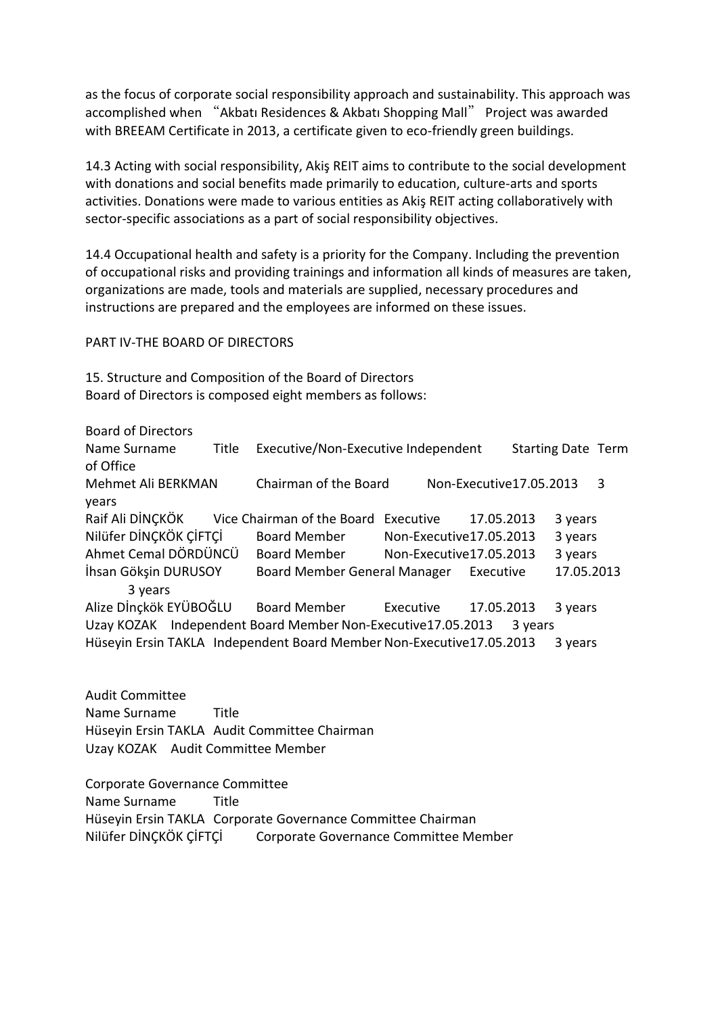as the focus of corporate social responsibility approach and sustainability. This approach was accomplished when "Akbatı Residences & Akbatı Shopping Mall" Project was awarded with BREEAM Certificate in 2013, a certificate given to eco-friendly green buildings.

14.3 Acting with social responsibility, Akiş REIT aims to contribute to the social development with donations and social benefits made primarily to education, culture-arts and sports activities. Donations were made to various entities as Akiş REIT acting collaboratively with sector-specific associations as a part of social responsibility objectives.

14.4 Occupational health and safety is a priority for the Company. Including the prevention of occupational risks and providing trainings and information all kinds of measures are taken, organizations are made, tools and materials are supplied, necessary procedures and instructions are prepared and the employees are informed on these issues.

PART IV-THE BOARD OF DIRECTORS

15. Structure and Composition of the Board of Directors Board of Directors is composed eight members as follows:

Board of Directors

Name Surname Title Executive/Non-Executive Independent Starting Date Term of Office Mehmet Ali BERKMAN Chairman of the Board Non-Executive17.05.2013 3 years Raif Ali DİNÇKÖK Vice Chairman of the Board Executive 17.05.2013 3 years Nilüfer DİNÇKÖK ÇİFTÇİ Board Member Non-Executive17.05.2013 3 years Ahmet Cemal DÖRDÜNCÜ Board Member Non-Executive17.05.2013 3 years İhsan Gökşin DURUSOY Board Member General Manager Executive 17.05.2013 3 years Alize Dİnçkök EYÜBOĞLU Board Member Executive 17.05.2013 3 years Uzay KOZAK Independent Board Member Non-Executive17.05.2013 3 years Hüseyin Ersin TAKLA Independent Board Member Non-Executive17.05.2013 3 years

Audit Committee Name Surname Title Hüseyin Ersin TAKLA Audit Committee Chairman Uzay KOZAK Audit Committee Member

Corporate Governance Committee Name Surname Title Hüseyin Ersin TAKLA Corporate Governance Committee Chairman Nilüfer DİNÇKÖK ÇİFTÇİ Corporate Governance Committee Member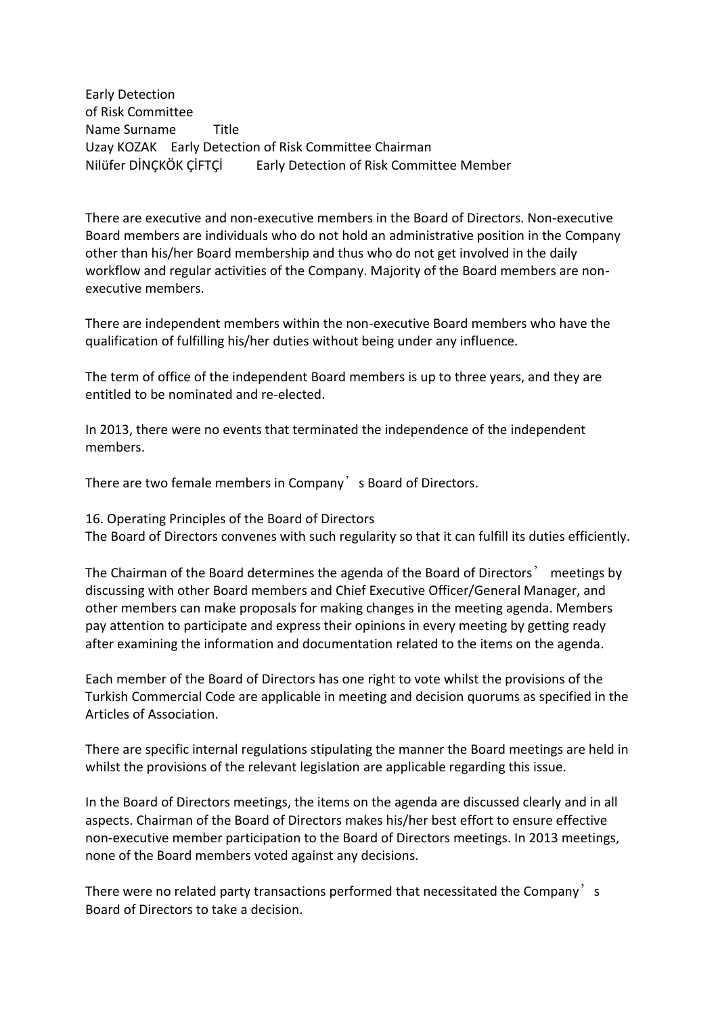Early Detection of Risk Committee Name Surname Title Uzay KOZAK Early Detection of Risk Committee Chairman Nilüfer DİNÇKÖK ÇİFTÇİ Early Detection of Risk Committee Member

There are executive and non-executive members in the Board of Directors. Non-executive Board members are individuals who do not hold an administrative position in the Company other than his/her Board membership and thus who do not get involved in the daily workflow and regular activities of the Company. Majority of the Board members are nonexecutive members.

There are independent members within the non-executive Board members who have the qualification of fulfilling his/her duties without being under any influence.

The term of office of the independent Board members is up to three years, and they are entitled to be nominated and re-elected.

In 2013, there were no events that terminated the independence of the independent members.

There are two female members in Company's Board of Directors.

16. Operating Principles of the Board of Directors

The Board of Directors convenes with such regularity so that it can fulfill its duties efficiently.

The Chairman of the Board determines the agenda of the Board of Directors' meetings by discussing with other Board members and Chief Executive Officer/General Manager, and other members can make proposals for making changes in the meeting agenda. Members pay attention to participate and express their opinions in every meeting by getting ready after examining the information and documentation related to the items on the agenda.

Each member of the Board of Directors has one right to vote whilst the provisions of the Turkish Commercial Code are applicable in meeting and decision quorums as specified in the Articles of Association.

There are specific internal regulations stipulating the manner the Board meetings are held in whilst the provisions of the relevant legislation are applicable regarding this issue.

In the Board of Directors meetings, the items on the agenda are discussed clearly and in all aspects. Chairman of the Board of Directors makes his/her best effort to ensure effective non-executive member participation to the Board of Directors meetings. In 2013 meetings, none of the Board members voted against any decisions.

There were no related party transactions performed that necessitated the Company's Board of Directors to take a decision.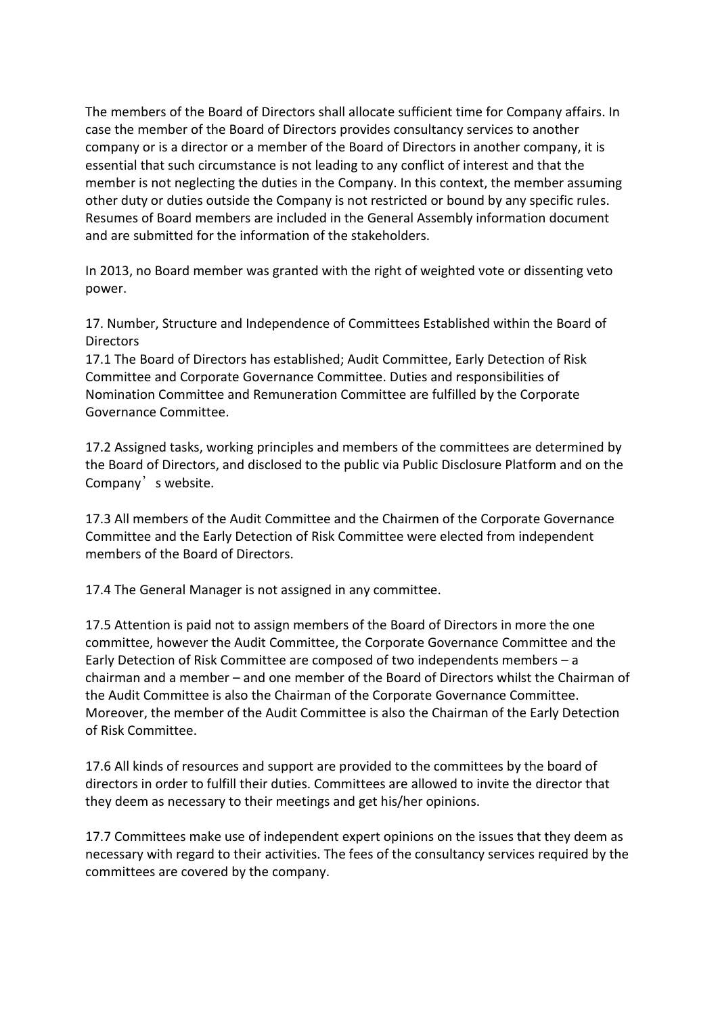The members of the Board of Directors shall allocate sufficient time for Company affairs. In case the member of the Board of Directors provides consultancy services to another company or is a director or a member of the Board of Directors in another company, it is essential that such circumstance is not leading to any conflict of interest and that the member is not neglecting the duties in the Company. In this context, the member assuming other duty or duties outside the Company is not restricted or bound by any specific rules. Resumes of Board members are included in the General Assembly information document and are submitted for the information of the stakeholders.

In 2013, no Board member was granted with the right of weighted vote or dissenting veto power.

17. Number, Structure and Independence of Committees Established within the Board of **Directors** 

17.1 The Board of Directors has established; Audit Committee, Early Detection of Risk Committee and Corporate Governance Committee. Duties and responsibilities of Nomination Committee and Remuneration Committee are fulfilled by the Corporate Governance Committee.

17.2 Assigned tasks, working principles and members of the committees are determined by the Board of Directors, and disclosed to the public via Public Disclosure Platform and on the Company's website.

17.3 All members of the Audit Committee and the Chairmen of the Corporate Governance Committee and the Early Detection of Risk Committee were elected from independent members of the Board of Directors.

17.4 The General Manager is not assigned in any committee.

17.5 Attention is paid not to assign members of the Board of Directors in more the one committee, however the Audit Committee, the Corporate Governance Committee and the Early Detection of Risk Committee are composed of two independents members – a chairman and a member – and one member of the Board of Directors whilst the Chairman of the Audit Committee is also the Chairman of the Corporate Governance Committee. Moreover, the member of the Audit Committee is also the Chairman of the Early Detection of Risk Committee.

17.6 All kinds of resources and support are provided to the committees by the board of directors in order to fulfill their duties. Committees are allowed to invite the director that they deem as necessary to their meetings and get his/her opinions.

17.7 Committees make use of independent expert opinions on the issues that they deem as necessary with regard to their activities. The fees of the consultancy services required by the committees are covered by the company.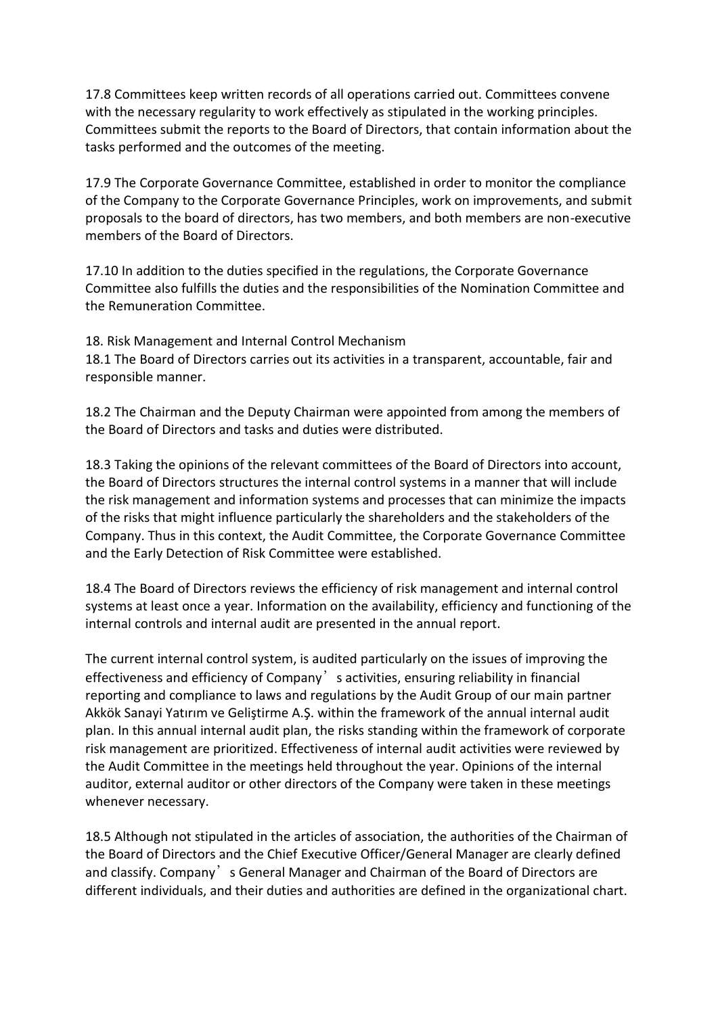17.8 Committees keep written records of all operations carried out. Committees convene with the necessary regularity to work effectively as stipulated in the working principles. Committees submit the reports to the Board of Directors, that contain information about the tasks performed and the outcomes of the meeting.

17.9 The Corporate Governance Committee, established in order to monitor the compliance of the Company to the Corporate Governance Principles, work on improvements, and submit proposals to the board of directors, has two members, and both members are non-executive members of the Board of Directors.

17.10 In addition to the duties specified in the regulations, the Corporate Governance Committee also fulfills the duties and the responsibilities of the Nomination Committee and the Remuneration Committee.

18. Risk Management and Internal Control Mechanism 18.1 The Board of Directors carries out its activities in a transparent, accountable, fair and responsible manner.

18.2 The Chairman and the Deputy Chairman were appointed from among the members of the Board of Directors and tasks and duties were distributed.

18.3 Taking the opinions of the relevant committees of the Board of Directors into account, the Board of Directors structures the internal control systems in a manner that will include the risk management and information systems and processes that can minimize the impacts of the risks that might influence particularly the shareholders and the stakeholders of the Company. Thus in this context, the Audit Committee, the Corporate Governance Committee and the Early Detection of Risk Committee were established.

18.4 The Board of Directors reviews the efficiency of risk management and internal control systems at least once a year. Information on the availability, efficiency and functioning of the internal controls and internal audit are presented in the annual report.

The current internal control system, is audited particularly on the issues of improving the effectiveness and efficiency of Company's activities, ensuring reliability in financial reporting and compliance to laws and regulations by the Audit Group of our main partner Akkök Sanayi Yatırım ve Geliştirme A.Ş. within the framework of the annual internal audit plan. In this annual internal audit plan, the risks standing within the framework of corporate risk management are prioritized. Effectiveness of internal audit activities were reviewed by the Audit Committee in the meetings held throughout the year. Opinions of the internal auditor, external auditor or other directors of the Company were taken in these meetings whenever necessary.

18.5 Although not stipulated in the articles of association, the authorities of the Chairman of the Board of Directors and the Chief Executive Officer/General Manager are clearly defined and classify. Company's General Manager and Chairman of the Board of Directors are different individuals, and their duties and authorities are defined in the organizational chart.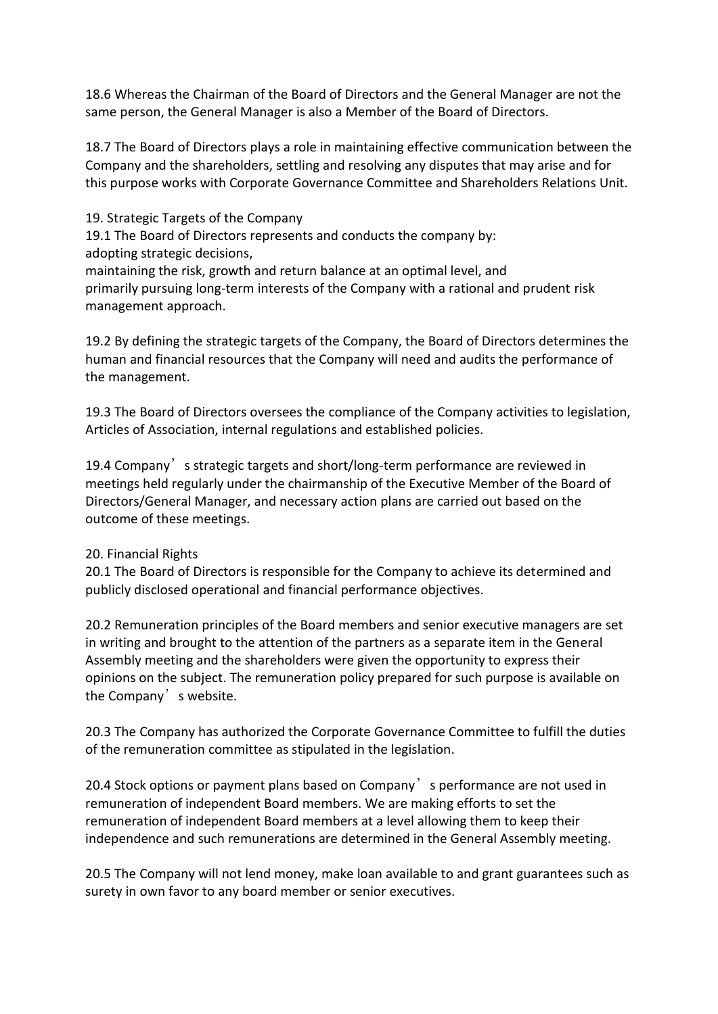18.6 Whereas the Chairman of the Board of Directors and the General Manager are not the same person, the General Manager is also a Member of the Board of Directors.

18.7 The Board of Directors plays a role in maintaining effective communication between the Company and the shareholders, settling and resolving any disputes that may arise and for this purpose works with Corporate Governance Committee and Shareholders Relations Unit.

19. Strategic Targets of the Company

19.1 The Board of Directors represents and conducts the company by: adopting strategic decisions,

maintaining the risk, growth and return balance at an optimal level, and primarily pursuing long-term interests of the Company with a rational and prudent risk management approach.

19.2 By defining the strategic targets of the Company, the Board of Directors determines the human and financial resources that the Company will need and audits the performance of the management.

19.3 The Board of Directors oversees the compliance of the Company activities to legislation, Articles of Association, internal regulations and established policies.

19.4 Company's strategic targets and short/long-term performance are reviewed in meetings held regularly under the chairmanship of the Executive Member of the Board of Directors/General Manager, and necessary action plans are carried out based on the outcome of these meetings.

## 20. Financial Rights

20.1 The Board of Directors is responsible for the Company to achieve its determined and publicly disclosed operational and financial performance objectives.

20.2 Remuneration principles of the Board members and senior executive managers are set in writing and brought to the attention of the partners as a separate item in the General Assembly meeting and the shareholders were given the opportunity to express their opinions on the subject. The remuneration policy prepared for such purpose is available on the Company's website.

20.3 The Company has authorized the Corporate Governance Committee to fulfill the duties of the remuneration committee as stipulated in the legislation.

20.4 Stock options or payment plans based on Company's performance are not used in remuneration of independent Board members. We are making efforts to set the remuneration of independent Board members at a level allowing them to keep their independence and such remunerations are determined in the General Assembly meeting.

20.5 The Company will not lend money, make loan available to and grant guarantees such as surety in own favor to any board member or senior executives.